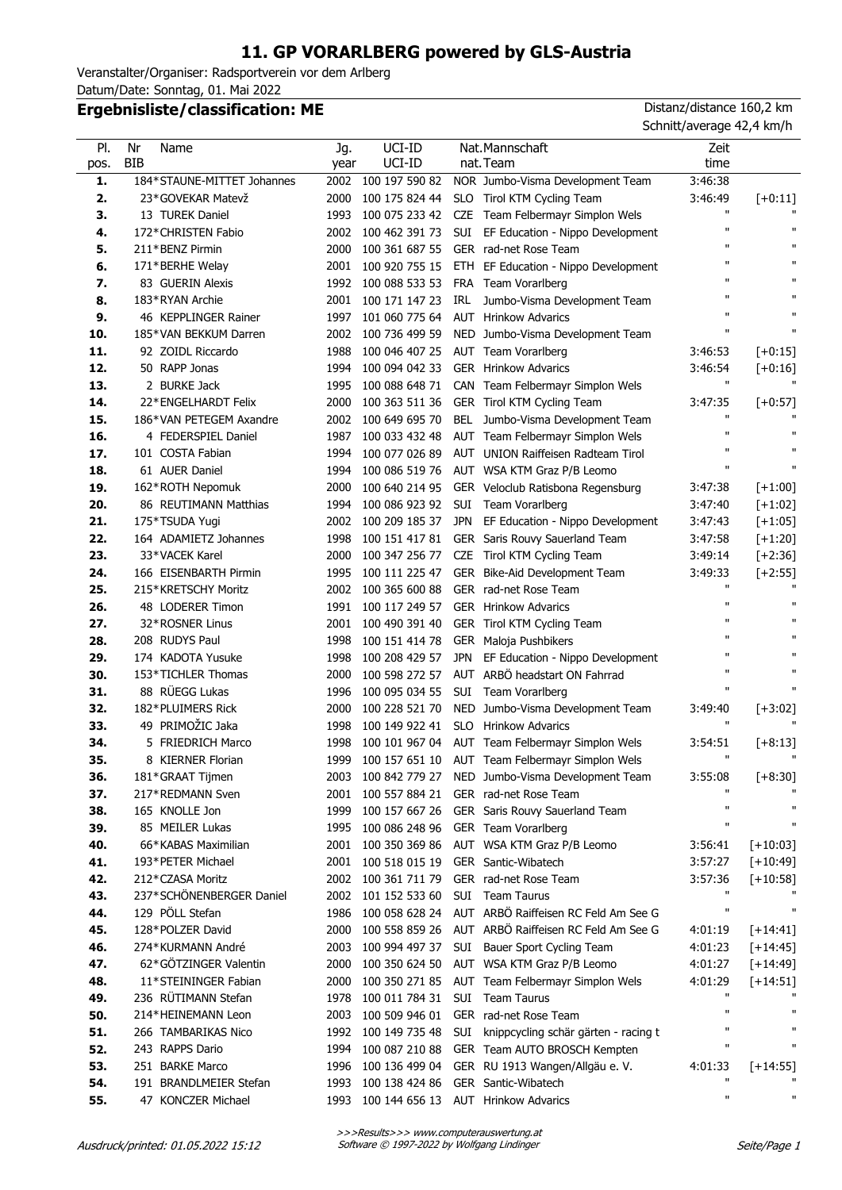## **11. GP VORARLBERG powered by GLS-Austria**

Veranstalter/Organiser: Radsportverein vor dem Arlberg Datum/Date: Sonntag, 01. Mai 2022

## **Ergebnisliste/classification: ME** Distanz/distance 160,2 km

Schnitt/average 42,4 km/h

| PI.  | Nr<br>Name                 | Jg.  | UCI-ID              |            | Nat.Mannschaft                                       | Zeit         |                    |
|------|----------------------------|------|---------------------|------------|------------------------------------------------------|--------------|--------------------|
| pos. | <b>BIB</b>                 | year | UCI-ID              |            | nat. Team                                            | time         |                    |
| 1.   | 184*STAUNE-MITTET Johannes | 2002 | 100 197 590 82      |            | NOR Jumbo-Visma Development Team                     | 3:46:38      |                    |
| 2.   | 23*GOVEKAR Matevž          | 2000 | 100 175 824 44      |            | SLO Tirol KTM Cycling Team                           | 3:46:49      | $[-0:11]$          |
| 3.   | 13 TUREK Daniel            | 1993 | 100 075 233 42      |            | CZE Team Felbermayr Simplon Wels                     | п            |                    |
| 4.   | 172*CHRISTEN Fabio         | 2002 | 100 462 391 73      |            | SUI EF Education - Nippo Development                 | $\mathbf{u}$ | $\mathbf{u}$       |
| 5.   | 211*BENZ Pirmin            | 2000 | 100 361 687 55      |            | GER rad-net Rose Team                                | $\mathbf{u}$ | $\mathbf{H}$       |
| 6.   | 171*BERHE Welay            | 2001 | 100 920 755 15      |            | ETH EF Education - Nippo Development                 | $\mathbf{u}$ | $\mathbf{u}$       |
| 7.   | 83 GUERIN Alexis           | 1992 | 100 088 533 53      |            | FRA Team Vorarlberg                                  | $\mathbf{u}$ | $\mathbf{u}$       |
| 8.   | 183*RYAN Archie            |      | 2001 100 171 147 23 |            | IRL Jumbo-Visma Development Team                     | $\mathbf{u}$ | $\mathbf{H}$       |
| 9.   | 46 KEPPLINGER Rainer       | 1997 | 101 060 775 64      |            | <b>AUT</b> Hrinkow Advarics                          | $\mathbf{u}$ | $\mathbf{u}$       |
| 10.  | 185*VAN BEKKUM Darren      | 2002 | 100 736 499 59      |            | NED Jumbo-Visma Development Team                     | $\mathbf{u}$ | $\mathbf{H}$       |
| 11.  | 92 ZOIDL Riccardo          | 1988 | 100 046 407 25      |            | AUT Team Vorarlberg                                  | 3:46:53      | $[-0:15]$          |
| 12.  | 50 RAPP Jonas              | 1994 | 100 094 042 33      |            | <b>GER</b> Hrinkow Advarics                          | 3:46:54      | $[-0:16]$          |
| 13.  | 2 BURKE Jack               | 1995 | 100 088 648 71      |            | CAN Team Felbermayr Simplon Wels                     | $\mathbf{H}$ |                    |
| 14.  | 22*ENGELHARDT Felix        | 2000 | 100 363 511 36      |            | GER Tirol KTM Cycling Team                           | 3:47:35      | $[-6:57]$          |
| 15.  | 186*VAN PETEGEM Axandre    | 2002 | 100 649 695 70      |            | BEL Jumbo-Visma Development Team                     | $\mathbf{u}$ |                    |
| 16.  | 4 FEDERSPIEL Daniel        | 1987 | 100 033 432 48      |            | AUT Team Felbermayr Simplon Wels                     | $\mathbf{u}$ |                    |
| 17.  | 101 COSTA Fabian           | 1994 | 100 077 026 89      |            | AUT UNION Raiffeisen Radteam Tirol                   | $\mathbf{u}$ |                    |
| 18.  | 61 AUER Daniel             | 1994 | 100 086 519 76      |            | AUT WSA KTM Graz P/B Leomo                           | $\mathbf{u}$ | $\mathbf{u}$       |
| 19.  | 162*ROTH Nepomuk           | 2000 | 100 640 214 95      |            | GER Veloclub Ratisbona Regensburg                    | 3:47:38      | $[-1:00]$          |
| 20.  | 86 REUTIMANN Matthias      | 1994 | 100 086 923 92      |            | SUI Team Vorarlberg                                  | 3:47:40      | $[-1:02]$          |
| 21.  | 175*TSUDA Yugi             | 2002 | 100 209 185 37      |            | JPN EF Education - Nippo Development                 | 3:47:43      | $[+1:05]$          |
| 22.  | 164 ADAMIETZ Johannes      | 1998 | 100 151 417 81      |            | GER Saris Rouvy Sauerland Team                       | 3:47:58      | $[+1:20]$          |
| 23.  | 33*VACEK Karel             | 2000 | 100 347 256 77      |            | CZE Tirol KTM Cycling Team                           | 3:49:14      | $[-2:36]$          |
| 24.  | 166 EISENBARTH Pirmin      | 1995 | 100 111 225 47      |            | GER Bike-Aid Development Team                        | 3:49:33      | $[-2:55]$          |
| 25.  | 215*KRETSCHY Moritz        | 2002 | 100 365 600 88      |            | GER rad-net Rose Team                                | п            |                    |
| 26.  | 48 LODERER Timon           | 1991 | 100 117 249 57      |            | <b>GER</b> Hrinkow Advarics                          | $\mathbf{u}$ |                    |
| 27.  | 32*ROSNER Linus            | 2001 | 100 490 391 40      |            | GER Tirol KTM Cycling Team                           | $\mathbf{u}$ |                    |
| 28.  | 208 RUDYS Paul             | 1998 | 100 151 414 78      |            | GER Maloja Pushbikers                                | $\mathbf{u}$ |                    |
| 29.  | 174 KADOTA Yusuke          | 1998 | 100 208 429 57      |            | JPN EF Education - Nippo Development                 |              |                    |
| 30.  | 153*TICHLER Thomas         | 2000 | 100 598 272 57      |            | AUT ARBÖ headstart ON Fahrrad                        | $\mathbf{u}$ | $\mathbf{u}$       |
| 31.  | 88 RÜEGG Lukas             | 1996 | 100 095 034 55      |            | SUI Team Vorarlberg                                  | $\mathbf{H}$ |                    |
| 32.  | 182*PLUIMERS Rick          | 2000 | 100 228 521 70      |            | NED Jumbo-Visma Development Team                     | 3:49:40      | $[+3:02]$          |
| 33.  | 49 PRIMOŽIC Jaka           | 1998 | 100 149 922 41      |            | SLO Hrinkow Advarics                                 | $\mathbf{H}$ |                    |
| 34.  | 5 FRIEDRICH Marco          | 1998 | 100 101 967 04      |            | AUT Team Felbermayr Simplon Wels                     | 3:54:51      | $[+8:13]$          |
| 35.  | 8 KIERNER Florian          |      |                     |            | 1999 100 157 651 10 AUT Team Felbermayr Simplon Wels | $\mathbf{H}$ |                    |
| 36.  | 181*GRAAT Tijmen           |      |                     |            | 2003 100 842 779 27 NED Jumbo-Visma Development Team | 3:55:08      | $[+8:30]$          |
| 37.  | 217*REDMANN Sven           | 2001 | 100 557 884 21      |            | GER rad-net Rose Team                                |              |                    |
| 38.  | 165 KNOLLE Jon             | 1999 | 100 157 667 26      |            | GER Saris Rouvy Sauerland Team                       | $\mathbf{u}$ |                    |
| 39.  | 85 MEILER Lukas            | 1995 | 100 086 248 96      |            | GER Team Vorarlberg                                  | п            |                    |
| 40.  | 66*KABAS Maximilian        | 2001 | 100 350 369 86      |            | AUT WSA KTM Graz P/B Leomo                           | 3:56:41      | $[+10:03]$         |
| 41.  | 193*PETER Michael          | 2001 | 100 518 015 19      |            | GER Santic-Wibatech                                  | 3:57:27      | $[+10:49]$         |
| 42.  | 212*CZASA Moritz           | 2002 | 100 361 711 79      |            | GER rad-net Rose Team                                | 3:57:36      | $[+10:58]$         |
| 43.  | 237*SCHÖNENBERGER Daniel   | 2002 | 101 152 533 60      |            | SUI Team Taurus                                      | $\mathbf{u}$ |                    |
| 44.  | 129 PÖLL Stefan            | 1986 | 100 058 628 24      |            | AUT ARBÖ Raiffeisen RC Feld Am See G                 | п            |                    |
| 45.  | 128*POLZER David           | 2000 | 100 558 859 26      |            | AUT ARBÖ Raiffeisen RC Feld Am See G                 | 4:01:19      | $[+14:41]$         |
| 46.  | 274*KURMANN André          | 2003 | 100 994 497 37      | SUI        | Bauer Sport Cycling Team                             | 4:01:23      | $[+14:45]$         |
| 47.  | 62*GÖTZINGER Valentin      | 2000 | 100 350 624 50      |            | AUT WSA KTM Graz P/B Leomo                           | 4:01:27      | $[+14:49]$         |
| 48.  | 11*STEININGER Fabian       | 2000 | 100 350 271 85      |            | AUT Team Felbermayr Simplon Wels                     | 4:01:29      | $[+14:51]$         |
| 49.  | 236 RÜTIMANN Stefan        | 1978 | 100 011 784 31      |            | SUI Team Taurus                                      |              |                    |
| 50.  | 214*HEINEMANN Leon         | 2003 | 100 509 946 01      |            | GER rad-net Rose Team                                | $\mathbf{u}$ |                    |
| 51.  | 266 TAMBARIKAS Nico        | 1992 | 100 149 735 48      | <b>SUI</b> | knippcycling schär gärten - racing t                 |              |                    |
| 52.  | 243 RAPPS Dario            | 1994 | 100 087 210 88      |            | GER Team AUTO BROSCH Kempten                         | п            | $\pmb{\mathsf{H}}$ |
| 53.  | 251 BARKE Marco            | 1996 | 100 136 499 04      |            | GER RU 1913 Wangen/Allgäu e. V.                      | 4:01:33      | $[+14:55]$         |
| 54.  | 191 BRANDLMEIER Stefan     | 1993 | 100 138 424 86      |            | GER Santic-Wibatech                                  | п            |                    |
| 55.  | 47 KONCZER Michael         | 1993 | 100 144 656 13      |            | <b>AUT</b> Hrinkow Advarics                          | п            | п                  |
|      |                            |      |                     |            |                                                      |              |                    |

>>>Results>>> www.computerauswertung.at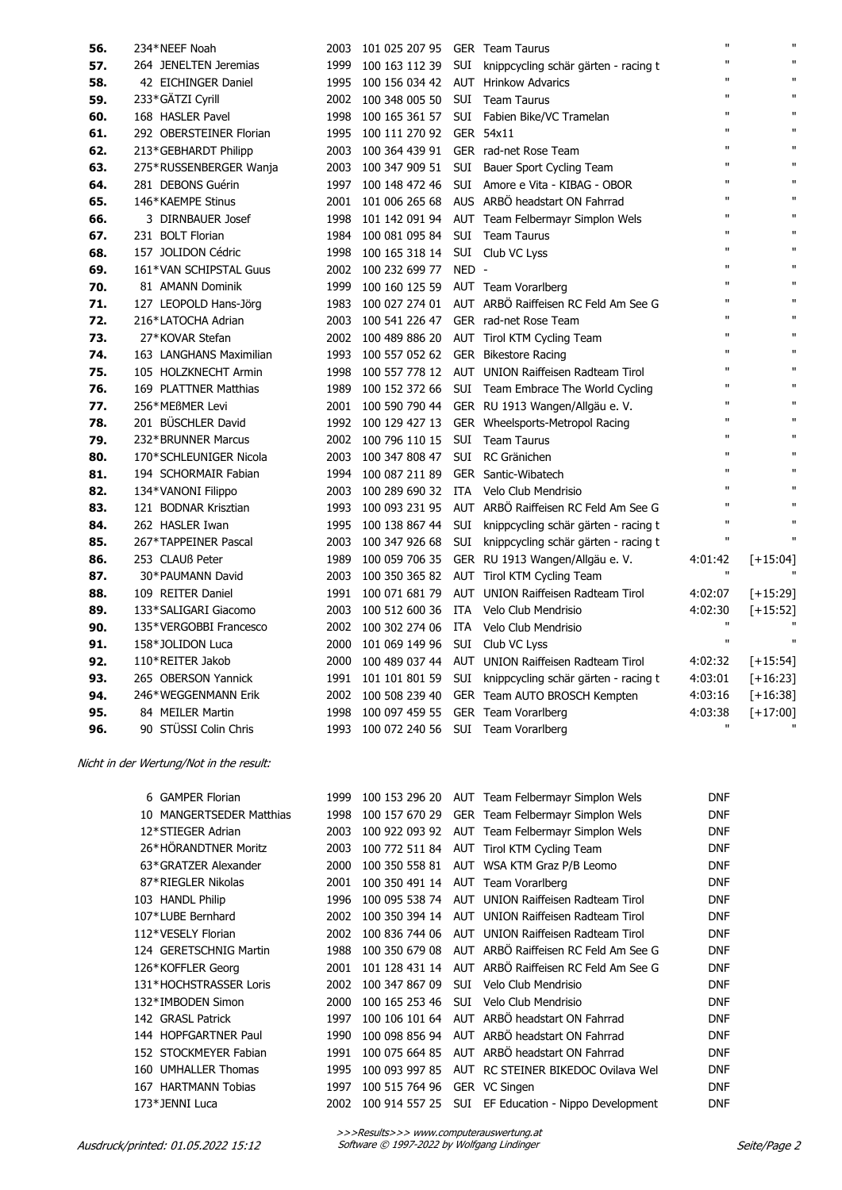| 56. | 234*NEEF Noah           | 2003 | 101 025 207 95 GER Team Taurus      |       |                                                   | $\mathbf{u}$ | $\mathbf{H}$ |
|-----|-------------------------|------|-------------------------------------|-------|---------------------------------------------------|--------------|--------------|
| 57. | 264 JENELTEN Jeremias   | 1999 | 100 163 112 39                      |       | SUI knippcycling schär gärten - racing t          | $\mathbf{u}$ | $\mathbf{u}$ |
| 58. | 42 EICHINGER Daniel     | 1995 | 100 156 034 42 AUT Hrinkow Advarics |       |                                                   | $\mathbf{u}$ | $\mathbf{u}$ |
| 59. | 233*GÄTZI Cyrill        | 2002 | 100 348 005 50                      |       | SUI Team Taurus                                   | $\mathbf{u}$ | $\mathbf{u}$ |
| 60. | 168 HASLER Pavel        | 1998 | 100 165 361 57                      |       | SUI Fabien Bike/VC Tramelan                       | $\mathbf{u}$ | $\mathbf{u}$ |
| 61. | 292 OBERSTEINER Florian | 1995 | 100 111 270 92 GER 54x11            |       |                                                   | $\mathbf{u}$ | $\mathbf{u}$ |
| 62. | 213*GEBHARDT Philipp    | 2003 | 100 364 439 91                      |       | GER rad-net Rose Team                             | $\mathbf{u}$ | $\mathbf{u}$ |
| 63. | 275*RUSSENBERGER Wanja  | 2003 | 100 347 909 51                      |       | SUI Bauer Sport Cycling Team                      | $\mathbf{u}$ | $\mathbf{u}$ |
| 64. | 281 DEBONS Guérin       | 1997 | 100 148 472 46                      |       | SUI Amore e Vita - KIBAG - OBOR                   | $\mathbf{u}$ | $\mathbf{u}$ |
| 65. | 146*KAEMPE Stinus       | 2001 | 101 006 265 68                      |       | AUS ARBÖ headstart ON Fahrrad                     | $\mathbf{u}$ | $\mathbf{u}$ |
| 66. | 3 DIRNBAUER Josef       | 1998 | 101 142 091 94                      |       | AUT Team Felbermayr Simplon Wels                  | $\mathbf{u}$ | $\mathbf{u}$ |
| 67. | 231 BOLT Florian        |      | 1984 100 081 095 84                 |       | SUI Team Taurus                                   | $\mathbf{u}$ | $\mathbf{u}$ |
| 68. | 157 JOLIDON Cédric      | 1998 | 100 165 318 14                      |       | SUI Club VC Lyss                                  | $\mathbf{u}$ | $\mathbf{u}$ |
| 69. | 161*VAN SCHIPSTAL Guus  | 2002 | 100 232 699 77                      | NED - |                                                   | $\mathbf{u}$ | $\mathbf{u}$ |
| 70. | 81 AMANN Dominik        | 1999 | 100 160 125 59                      |       | AUT Team Vorarlberg                               | $\mathbf{u}$ | $\mathbf{u}$ |
| 71. | 127 LEOPOLD Hans-Jörg   | 1983 | 100 027 274 01                      |       | AUT ARBÖ Raiffeisen RC Feld Am See G              | $\mathbf{u}$ | $\mathbf{u}$ |
| 72. | 216*LATOCHA Adrian      |      | 2003 100 541 226 47                 |       | GER rad-net Rose Team                             | $\mathbf{u}$ | $\mathbf{u}$ |
| 73. | 27*KOVAR Stefan         |      | 2002 100 489 886 20                 |       | AUT Tirol KTM Cycling Team                        | $\mathbf{u}$ | $\mathbf{u}$ |
| 74. | 163 LANGHANS Maximilian |      | 1993 100 557 052 62                 |       | <b>GER</b> Bikestore Racing                       | $\mathbf{u}$ | $\mathbf{u}$ |
| 75. | 105 HOLZKNECHT Armin    | 1998 |                                     |       | 100 557 778 12 AUT UNION Raiffeisen Radteam Tirol | $\mathbf{u}$ | $\mathbf{u}$ |
| 76. | 169 PLATTNER Matthias   | 1989 | 100 152 372 66                      |       | SUI Team Embrace The World Cycling                | $\mathbf{u}$ | $\mathbf{u}$ |
| 77. | 256*MEßMER Levi         |      | 2001 100 590 790 44                 |       | GER RU 1913 Wangen/Allgäu e. V.                   | $\mathbf{u}$ | $\mathbf{u}$ |
| 78. | 201 BÜSCHLER David      |      | 1992 100 129 427 13                 |       | GER Wheelsports-Metropol Racing                   | $\mathbf{u}$ | $\mathbf{u}$ |
| 79. | 232*BRUNNER Marcus      |      | 2002 100 796 110 15                 |       | SUI Team Taurus                                   | $\mathbf{u}$ | $\mathbf{u}$ |
| 80. | 170*SCHLEUNIGER Nicola  | 2003 | 100 347 808 47                      |       | SUI RC Gränichen                                  | $\mathbf{u}$ | $\mathbf{u}$ |
| 81. | 194 SCHORMAIR Fabian    | 1994 | 100 087 211 89                      |       | <b>GER</b> Santic-Wibatech                        | $\mathbf{u}$ | $\mathbf{u}$ |
| 82. | 134*VANONI Filippo      | 2003 | 100 289 690 32                      |       | ITA Velo Club Mendrisio                           | $\mathbf{u}$ | $\mathbf{H}$ |
| 83. | 121 BODNAR Krisztian    |      | 1993 100 093 231 95                 |       | AUT ARBÖ Raiffeisen RC Feld Am See G              | $\mathbf{u}$ | $\mathbf{u}$ |
| 84. | 262 HASLER Iwan         |      | 1995 100 138 867 44                 | SUI   | knippcycling schär gärten - racing t              | $\mathbf{u}$ | $\mathbf{u}$ |
| 85. | 267*TAPPEINER Pascal    | 2003 | 100 347 926 68                      | SUI   | knippcycling schär gärten - racing t              | $\mathbf{u}$ | $\mathbf{u}$ |
| 86. | 253 CLAUß Peter         | 1989 | 100 059 706 35                      |       | GER RU 1913 Wangen/Allgäu e. V.                   | 4:01:42      | $[+15:04]$   |
| 87. | 30*PAUMANN David        | 2003 | 100 350 365 82                      |       | AUT Tirol KTM Cycling Team                        | $\mathbf{u}$ |              |
| 88. | 109 REITER Daniel       |      | 1991 100 071 681 79                 |       | AUT UNION Raiffeisen Radteam Tirol                | 4:02:07      | $[+15:29]$   |
| 89. | 133*SALIGARI Giacomo    |      | 2003 100 512 600 36                 | ITA   | Velo Club Mendrisio                               | 4:02:30      | $[-15:52]$   |
| 90. | 135*VERGOBBI Francesco  | 2002 | 100 302 274 06                      | ITA   | Velo Club Mendrisio                               | $\mathbf{u}$ |              |
| 91. | 158*JOLIDON Luca        | 2000 | 101 069 149 96                      |       | SUI Club VC Lyss                                  | $\mathbf{u}$ | $\mathbf{u}$ |
| 92. | 110*REITER Jakob        | 2000 | 100 489 037 44                      |       | AUT UNION Raiffeisen Radteam Tirol                | 4:02:32      | $[-15:54]$   |
| 93. | 265 OBERSON Yannick     | 1991 | 101 101 801 59                      |       | SUI knippcycling schär gärten - racing t          | 4:03:01      | $[-16:23]$   |
| 94. | 246*WEGGENMANN Erik     |      | 2002 100 508 239 40                 |       | GER Team AUTO BROSCH Kempten                      | 4:03:16      | $[+16:38]$   |
| 95. | 84 MEILER Martin        | 1998 | 100 097 459 55                      |       | GER Team Vorarlberg                               | 4:03:38      | $[+17:00]$   |
| 96. | 90 STÜSSI Colin Chris   |      | 1993 100 072 240 56                 |       | SUI Team Vorarlberg                               | $\mathbf{H}$ |              |

Nicht in der Wertung/Not in the result:

| 6 GAMPER Florian       |                          | 1999 |                |     | 100 153 296 20 AUT Team Felbermayr Simplon Wels     | <b>DNF</b> |
|------------------------|--------------------------|------|----------------|-----|-----------------------------------------------------|------------|
|                        | 10 MANGERTSEDER Matthias | 1998 |                |     | 100 157 670 29 GER Team Felbermayr Simplon Wels     | <b>DNF</b> |
| 12*STIEGER Adrian      |                          | 2003 |                |     | 100 922 093 92 AUT Team Felbermayr Simplon Wels     | <b>DNF</b> |
| 26*HÖRANDTNER Moritz   |                          | 2003 |                |     | 100 772 511 84 AUT Tirol KTM Cycling Team           | <b>DNF</b> |
| 63*GRATZER Alexander   |                          | 2000 |                |     | 100 350 558 81 AUT WSA KTM Graz P/B Leomo           | <b>DNF</b> |
| 87*RIEGLER Nikolas     |                          | 2001 |                |     | 100 350 491 14 AUT Team Vorarlberg                  | <b>DNF</b> |
| 103 HANDL Philip       |                          | 1996 |                |     | 100 095 538 74 AUT UNION Raiffeisen Radteam Tirol   | <b>DNF</b> |
| 107*LUBE Bernhard      |                          | 2002 |                |     | 100 350 394 14 AUT UNION Raiffeisen Radteam Tirol   | <b>DNF</b> |
| 112*VESELY Florian     |                          | 2002 |                |     | 100 836 744 06 AUT UNION Raiffeisen Radteam Tirol   | <b>DNF</b> |
| 124 GERETSCHNIG Martin |                          | 1988 |                |     | 100 350 679 08 AUT ARBÖ Raiffeisen RC Feld Am See G | <b>DNF</b> |
| 126*KOFFLER Georg      |                          | 2001 |                |     | 101 128 431 14 AUT ARBÖ Raiffeisen RC Feld Am See G | <b>DNF</b> |
| 131*HOCHSTRASSER Loris |                          | 2002 | 100 347 867 09 | SUI | Velo Club Mendrisio                                 | <b>DNF</b> |
| 132*IMBODEN Simon      |                          | 2000 |                |     | 100 165 253 46 SUI Velo Club Mendrisio              | <b>DNF</b> |
| 142 GRASL Patrick      |                          | 1997 |                |     | 100 106 101 64 AUT ARBÖ headstart ON Fahrrad        | <b>DNF</b> |
| 144 HOPFGARTNER Paul   |                          | 1990 | 100 098 856 94 |     | AUT ARBÖ headstart ON Fahrrad                       | <b>DNF</b> |
| 152 STOCKMEYER Fabian  |                          | 1991 |                |     | 100 075 664 85 AUT ARBÖ headstart ON Fahrrad        | <b>DNF</b> |
| 160 UMHALLER Thomas    |                          | 1995 |                |     | 100 093 997 85 AUT RC STEINER BIKEDOC Ovilava Wel   | <b>DNF</b> |
| 167 HARTMANN Tobias    |                          | 1997 | 100 515 764 96 |     | GER VC Singen                                       | <b>DNF</b> |
| 173*JENNI Luca         |                          | 2002 | 100 914 557 25 |     | SUI EF Education - Nippo Development                | <b>DNF</b> |
|                        |                          |      |                |     |                                                     |            |

>>>Results>>> www.computerauswertung.at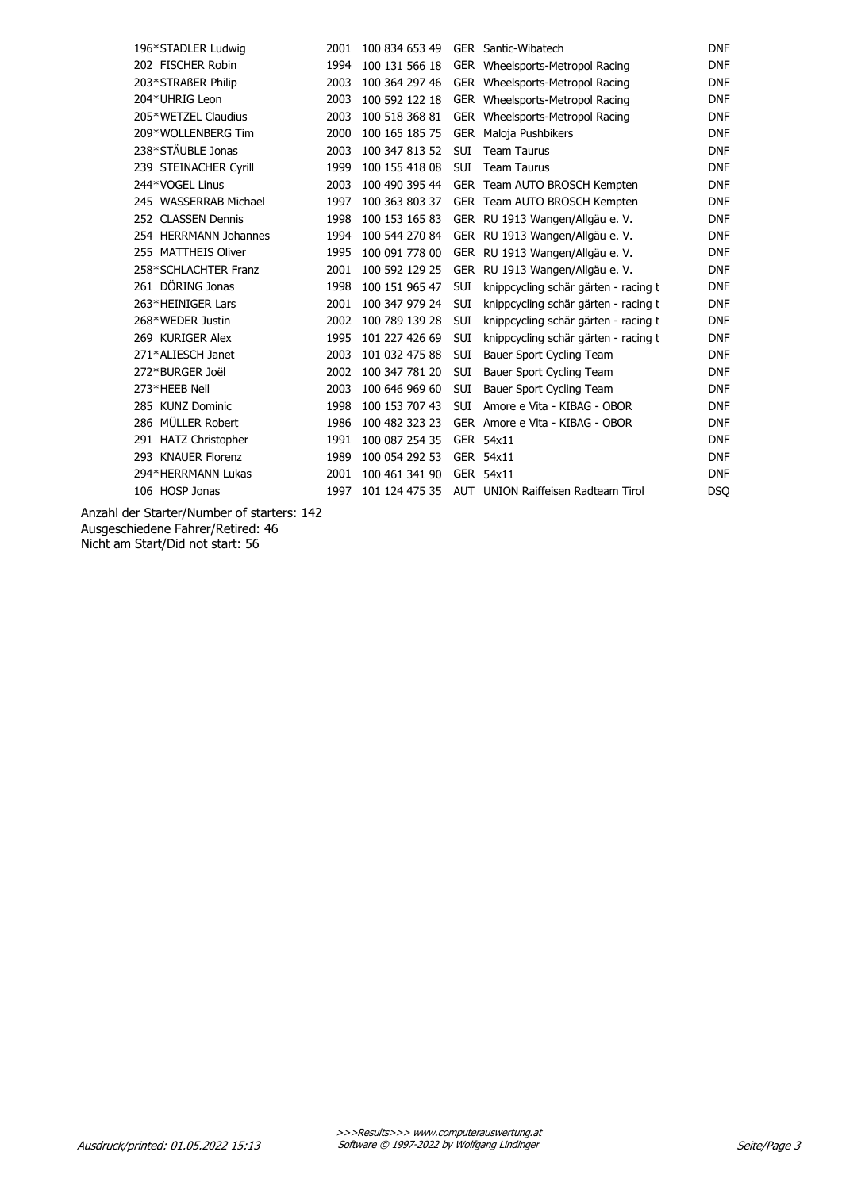| 196*STADLER Ludwig    | 2001 | 100 834 653 49 |            | GER Santic-Wibatech                  | <b>DNF</b> |
|-----------------------|------|----------------|------------|--------------------------------------|------------|
| 202 FISCHER Robin     | 1994 | 100 131 566 18 |            | GER Wheelsports-Metropol Racing      | <b>DNF</b> |
| 203*STRAßER Philip    | 2003 | 100 364 297 46 |            | GER Wheelsports-Metropol Racing      | <b>DNF</b> |
| 204*UHRIG Leon        | 2003 | 100 592 122 18 |            | GER Wheelsports-Metropol Racing      | <b>DNF</b> |
| 205*WETZEL Claudius   | 2003 | 100 518 368 81 |            | GER Wheelsports-Metropol Racing      | <b>DNF</b> |
| 209*WOLLENBERG Tim    | 2000 | 100 165 185 75 |            | GER Maloja Pushbikers                | <b>DNF</b> |
| 238*STÄUBLE Jonas     | 2003 | 100 347 813 52 | <b>SUI</b> | <b>Team Taurus</b>                   | <b>DNF</b> |
| 239 STEINACHER Cyrill | 1999 | 100 155 418 08 | <b>SUI</b> | <b>Team Taurus</b>                   | <b>DNF</b> |
| 244*VOGEL Linus       | 2003 | 100 490 395 44 |            | GER Team AUTO BROSCH Kempten         | <b>DNF</b> |
| 245 WASSERRAB Michael | 1997 | 100 363 803 37 |            | GER Team AUTO BROSCH Kempten         | <b>DNF</b> |
| 252 CLASSEN Dennis    | 1998 | 100 153 165 83 |            | GER RU 1913 Wangen/Allgäu e. V.      | <b>DNF</b> |
| 254 HERRMANN Johannes | 1994 | 100 544 270 84 |            | GER RU 1913 Wangen/Allgäu e. V.      | <b>DNF</b> |
| 255 MATTHEIS Oliver   | 1995 | 100 091 778 00 |            | GER RU 1913 Wangen/Allgäu e. V.      | <b>DNF</b> |
| 258*SCHLACHTER Franz  | 2001 | 100 592 129 25 |            | GER RU 1913 Wangen/Allgäu e. V.      | <b>DNF</b> |
| 261 DÖRING Jonas      | 1998 | 100 151 965 47 | <b>SUI</b> | knippcycling schär gärten - racing t | <b>DNF</b> |
| 263*HEINIGER Lars     | 2001 | 100 347 979 24 | <b>SUI</b> | knippcycling schär gärten - racing t | <b>DNF</b> |
| 268*WEDER Justin      | 2002 | 100 789 139 28 | <b>SUI</b> | knippcycling schär gärten - racing t | <b>DNF</b> |
| 269 KURIGER Alex      | 1995 | 101 227 426 69 | <b>SUI</b> | knippcycling schär gärten - racing t | <b>DNF</b> |
| 271*ALIESCH Janet     | 2003 | 101 032 475 88 | <b>SUI</b> | Bauer Sport Cycling Team             | <b>DNF</b> |
| 272*BURGER Joël       | 2002 | 100 347 781 20 | SUI        | Bauer Sport Cycling Team             | <b>DNF</b> |
| 273*HEEB Neil         | 2003 | 100 646 969 60 | <b>SUI</b> | Bauer Sport Cycling Team             | <b>DNF</b> |
| 285 KUNZ Dominic      | 1998 | 100 153 707 43 | <b>SUI</b> | Amore e Vita - KIBAG - OBOR          | <b>DNF</b> |
| 286 MÜLLER Robert     | 1986 | 100 482 323 23 |            | GER Amore e Vita - KIBAG - OBOR      | <b>DNF</b> |
| 291 HATZ Christopher  | 1991 | 100 087 254 35 |            | GER 54x11                            | <b>DNF</b> |
| 293 KNAUER Florenz    | 1989 | 100 054 292 53 |            | GER 54x11                            | <b>DNF</b> |
| 294*HERRMANN Lukas    | 2001 | 100 461 341 90 |            | GER 54x11                            | <b>DNF</b> |
| 106 HOSP Jonas        | 1997 | 101 124 475 35 |            | AUT UNION Raiffeisen Radteam Tirol   | DSO        |
|                       |      |                |            |                                      |            |

Anzahl der Starter/Number of starters: 142 Ausgeschiedene Fahrer/Retired: 46 Nicht am Start/Did not start: 56